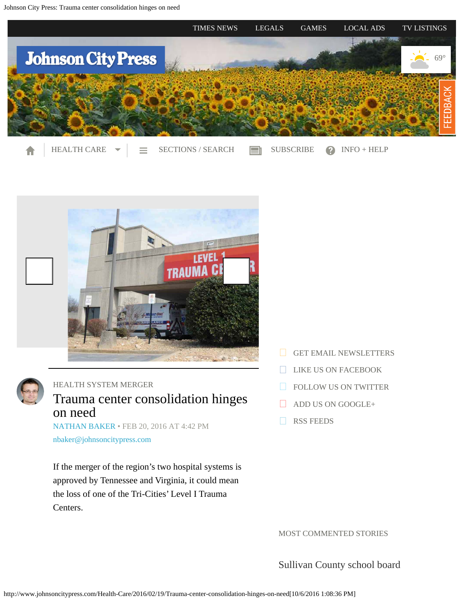<span id="page-0-0"></span>

- A
- 
- [HEALTH CARE](#page-0-0)  $\blacktriangleright$   $\equiv$  [SECTIONS / SEARCH](#page-0-0)  $\equiv$  [SUBSCRIBE](https://sanduskyoh.circulationpro.com/scripts/WebObjects.exe/SanduskyOHSubscriberSelfService.woa) 2 [INFO + HELP](#page-0-0)
	-





## [HEALTH SYSTEM MERGER](http://www.johnsoncitypress.com/tags/health-system-merger)

## Trauma center consolidation hinges on need

[NATHAN BAKER](http://www.johnsoncitypress.com/authors?user=nathan%20baker) • FEB 20, 2016 AT 4:42 PM [nbaker@johnsoncitypress.com](mailto:nbaker@johnsoncitypress.com)

If the merger of the region's two hospital systems is approved by Tennessee and Virginia, it could mean the loss of one of the Tri-Cities' Level I Trauma Centers.

- [GET EMAIL NEWSLETTERS](https://2.dat-e-baseonline.com/front/deb.asp?action=Reg&zx=356)
- [LIKE US ON FACEBOOK](https://www.facebook.com/JohnsonCityPress)
- **[FOLLOW US ON TWITTER](https://twitter.com/JCPress)**
- [ADD US ON GOOGLE+](https://plus.google.com/105087023408942878762/about)
- **[RSS FEEDS](http://www.johnsoncitypress.com/feed)**

MOST COMMENTED STORIES

[Sullivan County school board](http://www.johnsoncitypress.com/Education/2016/10/04/Ireson-calls-for-removal-of-Pearson-seventh-grade-history-text-from-Sullivan-schools?ci=mostcommented&lp=1)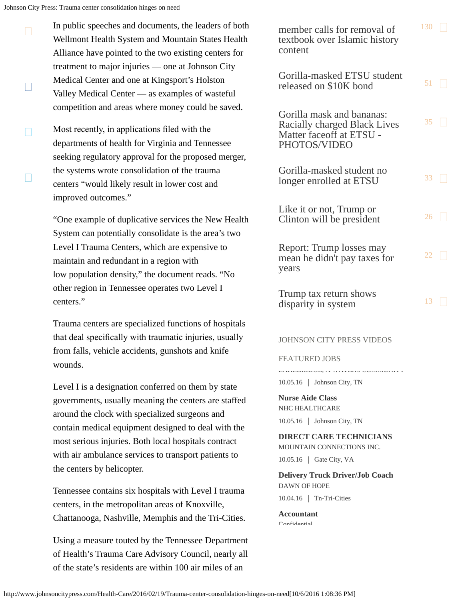$\Box$ 

- In public speeches and documents, the leaders of both Wellmont Health System and Mountain States Health Alliance have pointed to the two existing centers for treatment to major injuries — one at Johnson City Medical Center and one at Kingsport's Holston Valley Medical Center — as examples of wasteful competition and areas where money could be saved.
- П П Most recently, in applications fled with the departments of health for Virginia and Tennessee seeking regulatory approval for the proposed merger, the systems wrote consolidation of the trauma centers "would likely result in lower cost and improved outcomes."

"One example of duplicative services the New Health System can potentially consolidate is the area's two Level I Trauma Centers, which are expensive to maintain and redundant in a region with low population density," the document reads. "No other region in Tennessee operates two Level I centers."

Trauma centers are specialized functions of hospitals that deal specifcally with traumatic injuries, usually from falls, vehicle accidents, gunshots and knife wounds.

Level I is a designation conferred on them by state governments, usually meaning the centers are staffed around the clock with specialized surgeons and contain medical equipment designed to deal with the most serious injuries. Both local hospitals contract with air ambulance services to transport patients to the centers by helicopter.

Tennessee contains six hospitals with Level I trauma centers, in the metropolitan areas of Knoxville, Chattanooga, Nashville, Memphis and the Tri-Cities.

Using a measure touted by the Tennessee Department of Health's Trauma Care Advisory Council, nearly all of the state's residents are within 100 air miles of an

[member calls for removal of](http://www.johnsoncitypress.com/Education/2016/10/04/Ireson-calls-for-removal-of-Pearson-seventh-grade-history-text-from-Sullivan-schools?ci=mostcommented&lp=1) [textbook over Islamic history](http://www.johnsoncitypress.com/Education/2016/10/04/Ireson-calls-for-removal-of-Pearson-seventh-grade-history-text-from-Sullivan-schools?ci=mostcommented&lp=1) [content](http://www.johnsoncitypress.com/Education/2016/10/04/Ireson-calls-for-removal-of-Pearson-seventh-grade-history-text-from-Sullivan-schools?ci=mostcommented&lp=1) [130](http://www.johnsoncitypress.com/Education/2016/10/04/Ireson-calls-for-removal-of-Pearson-seventh-grade-history-text-from-Sullivan-schools?ci=mostcommented&lp=1#comments) [Gorilla-masked ETSU student](http://www.johnsoncitypress.com/law-enforcement/2016/09/29/Gorilla-masked-ETSU-student-released-on-10K-bond?ci=mostcommented&lp=2) [released on \\$10K bond](http://www.johnsoncitypress.com/law-enforcement/2016/09/29/Gorilla-masked-ETSU-student-released-on-10K-bond?ci=mostcommented&lp=2)  $51$ [Gorilla mask and bananas:](http://www.johnsoncitypress.com/Education/2016/09/28/Gorilla-mask-and-bananas-Racially-charged-Black-Lives-Matter-faceoff-at-ETSU?ci=mostcommented&lp=3) [Racially charged Black Lives](http://www.johnsoncitypress.com/Education/2016/09/28/Gorilla-mask-and-bananas-Racially-charged-Black-Lives-Matter-faceoff-at-ETSU?ci=mostcommented&lp=3) [Matter faceoff at ETSU -](http://www.johnsoncitypress.com/Education/2016/09/28/Gorilla-mask-and-bananas-Racially-charged-Black-Lives-Matter-faceoff-at-ETSU?ci=mostcommented&lp=3) [PHOTOS/VIDEO](http://www.johnsoncitypress.com/Education/2016/09/28/Gorilla-mask-and-bananas-Racially-charged-Black-Lives-Matter-faceoff-at-ETSU?ci=mostcommented&lp=3) [35](http://www.johnsoncitypress.com/Education/2016/09/28/Gorilla-mask-and-bananas-Racially-charged-Black-Lives-Matter-faceoff-at-ETSU?ci=mostcommented&lp=3#comments)  $\Box$ [Gorilla-masked student no](http://www.johnsoncitypress.com/Education/2016/09/30/Gorilla-masked-student-no-longer-enrolled-at-ETSU?ci=mostcommented&lp=4) [longer enrolled at ETSU](http://www.johnsoncitypress.com/Education/2016/09/30/Gorilla-masked-student-no-longer-enrolled-at-ETSU?ci=mostcommented&lp=4)  $33 \Box$  $33 \Box$ [Like it or not, Trump or](http://www.johnsoncitypress.com/Editorial/2016/10/02/Ready-or-not-one-will-soon-be-president?ci=mostcommented&lp=5) [Clinton will be president](http://www.johnsoncitypress.com/Editorial/2016/10/02/Ready-or-not-one-will-soon-be-president?ci=mostcommented&lp=5)  $^{26}$  $^{26}$  $^{26}$ [Report: Trump losses may](http://www.johnsoncitypress.com/News/2016/10/02/Report-Trump-losses-may-mean-he-didn-t-pay-taxes-for-years?ci=mostcommented&lp=6) [mean he didn't pay taxes for](http://www.johnsoncitypress.com/News/2016/10/02/Report-Trump-losses-may-mean-he-didn-t-pay-taxes-for-years?ci=mostcommented&lp=6) [years](http://www.johnsoncitypress.com/News/2016/10/02/Report-Trump-losses-may-mean-he-didn-t-pay-taxes-for-years?ci=mostcommented&lp=6) [22](http://www.johnsoncitypress.com/News/2016/10/02/Report-Trump-losses-may-mean-he-didn-t-pay-taxes-for-years?ci=mostcommented&lp=6#comments)  $\Box$ [Trump tax return shows](http://www.johnsoncitypress.com/News/2016/10/02/Trump-tax-return-shows-disparity-in-system?ci=mostcommented&lp=7) [disparity in system](http://www.johnsoncitypress.com/News/2016/10/02/Trump-tax-return-shows-disparity-in-system?ci=mostcommented&lp=7)  $13$ 

## JOHNSON CITY PRESS VIDEOS

## FEATURED JOBS

LA AALDING CONTRA HILLER COMMUNITY

10.05.16 | Johnson City, TN

**Nurse Aide Class** NHC HEALTHCARE

10.05.16 Johnson City, TN

**DIRECT CARE TECHNICIANS**

MOUNTAIN CONNECTIONS INC.

10.05.16 | Gate City, VA

**Delivery Truck Driver/Job Coach** DAWN OF HOPE

10.04.16 Tn-Tri-Cities

**Accountant** Confidential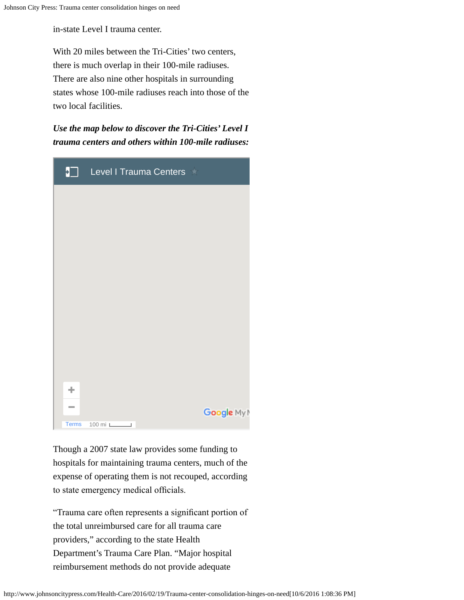in-state Level I trauma center.

With 20 miles between the Tri-Cities' two centers, there is much overlap in their 100-mile radiuses. There are also nine other hospitals in surrounding states whose 100-mile radiuses reach into those of the two local facilities.

*Use the map below to discover the Tri-Cities' Level I trauma centers and others within 100-mile radiuses:*



Though a 2007 state law provides some funding to hospitals for maintaining trauma centers, much of the expense of operating them is not recouped, according to state emergency medical officials.

"Trauma care often represents a signifcant portion of the total unreimbursed care for all trauma care providers," according to the state Health Department's Trauma Care Plan. "Major hospital reimbursement methods do not provide adequate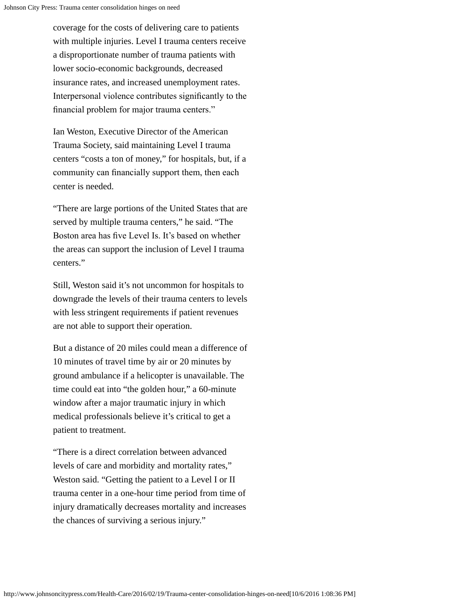coverage for the costs of delivering care to patients with multiple injuries. Level I trauma centers receive a disproportionate number of trauma patients with lower socio-economic backgrounds, decreased insurance rates, and increased unemployment rates. Interpersonal violence contributes signifcantly to the fnancial problem for major trauma centers."

Ian Weston, Executive Director of the American Trauma Society, said maintaining Level I trauma centers "costs a ton of money," for hospitals, but, if a community can fnancially support them, then each center is needed.

"There are large portions of the United States that are served by multiple trauma centers," he said. "The Boston area has fve Level Is. It's based on whether the areas can support the inclusion of Level I trauma centers."

Still, Weston said it's not uncommon for hospitals to downgrade the levels of their trauma centers to levels with less stringent requirements if patient revenues are not able to support their operation.

But a distance of 20 miles could mean a difference of 10 minutes of travel time by air or 20 minutes by ground ambulance if a helicopter is unavailable. The time could eat into "the golden hour," a 60-minute window after a major traumatic injury in which medical professionals believe it's critical to get a patient to treatment.

"There is a direct correlation between advanced levels of care and morbidity and mortality rates," Weston said. "Getting the patient to a Level I or II trauma center in a one-hour time period from time of injury dramatically decreases mortality and increases the chances of surviving a serious injury."